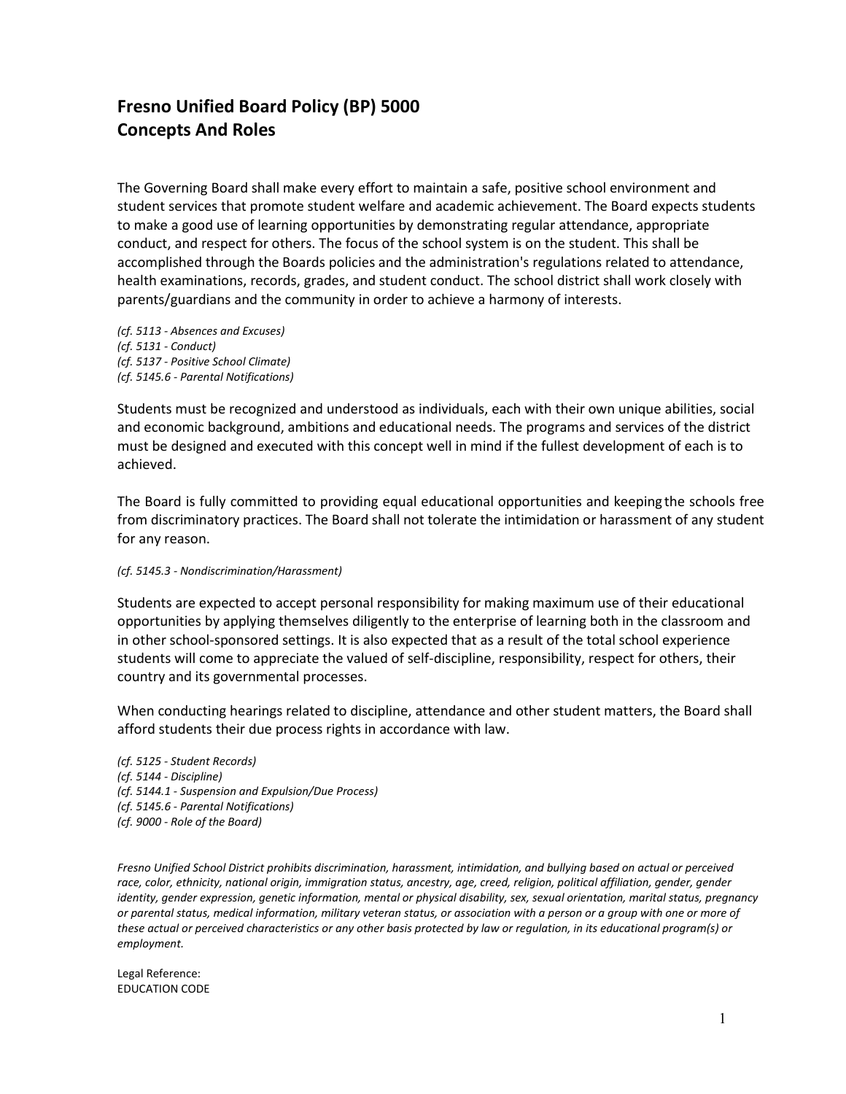## **Fresno Unified Board Policy (BP) 5000 Concepts And Roles**

The Governing Board shall make every effort to maintain a safe, positive school environment and student services that promote student welfare and academic achievement. The Board expects students to make a good use of learning opportunities by demonstrating regular attendance, appropriate conduct, and respect for others. The focus of the school system is on the student. This shall be accomplished through the Boards policies and the administration's regulations related to attendance, health examinations, records, grades, and student conduct. The school district shall work closely with parents/guardians and the community in order to achieve a harmony of interests.

*(cf[. 5113 -](http://www.fresnounified.org/board/policies/Policies/fusd/displaypolicy/144149/5.htm) Absences and Excuses) (cf[. 5131 -](http://www.fresnounified.org/board/policies/Policies/fusd/displaypolicy/143623/5.htm) Conduct) (cf[. 5137 -](http://www.fresnounified.org/board/policies/Policies/fusd/displaypolicy/144110/5.htm) Positive School Climate) (cf[. 5145.6 -](http://www.fresnounified.org/board/policies/Policies/fusd/displaypolicy/144090/5.htm) Parental Notifications)*

Students must be recognized and understood as individuals, each with their own unique abilities, social and economic background, ambitions and educational needs. The programs and services of the district must be designed and executed with this concept well in mind if the fullest development of each is to achieved.

The Board is fully committed to providing equal educational opportunities and keeping the schools free from discriminatory practices. The Board shall not tolerate the intimidation or harassment of any student for any reason.

## *(cf. 5145.3 - Nondiscrimination/Harassment)*

Students are expected to accept personal responsibility for making maximum use of their educational opportunities by applying themselves diligently to the enterprise of learning both in the classroom and in other school-sponsored settings. It is also expected that as a result of the total school experience students will come to appreciate the valued of self-discipline, responsibility, respect for others, their country and its governmental processes.

When conducting hearings related to discipline, attendance and other student matters, the Board shall afford students their due process rights in accordance with law.

*(cf[. 5125 -](http://www.fresnounified.org/board/policies/Policies/fusd/displaypolicy/144151/5.htm) Student Records) (cf[. 5144 -](http://www.fresnounified.org/board/policies/Policies/fusd/displaypolicy/143650/5.htm) Discipline) (cf[. 5144.1 -](http://www.fresnounified.org/board/policies/Policies/fusd/displaypolicy/144160/5.htm) Suspension and Expulsion/Due Process) (cf[. 5145.6 -](http://www.fresnounified.org/board/policies/Policies/fusd/displaypolicy/144090/5.htm) Parental Notifications) (cf[. 9000 -](http://www.fresnounified.org/board/policies/Policies/fusd/displaypolicy/143995/5.htm) Role of the Board)*

*Fresno Unified School District prohibits discrimination, harassment, intimidation, and bullying based on actual or perceived race, color, ethnicity, national origin, immigration status, ancestry, age, creed, religion, political affiliation, gender, gender identity, gender expression, genetic information, mental or physical disability, sex, sexual orientation, marital status, pregnancy or parental status, medical information, military veteran status, or association with a person or a group with one or more of these actual or perceived characteristics or any other basis protected by law or regulation, in its educational program(s) or employment.*

Legal Reference: EDUCATION CODE